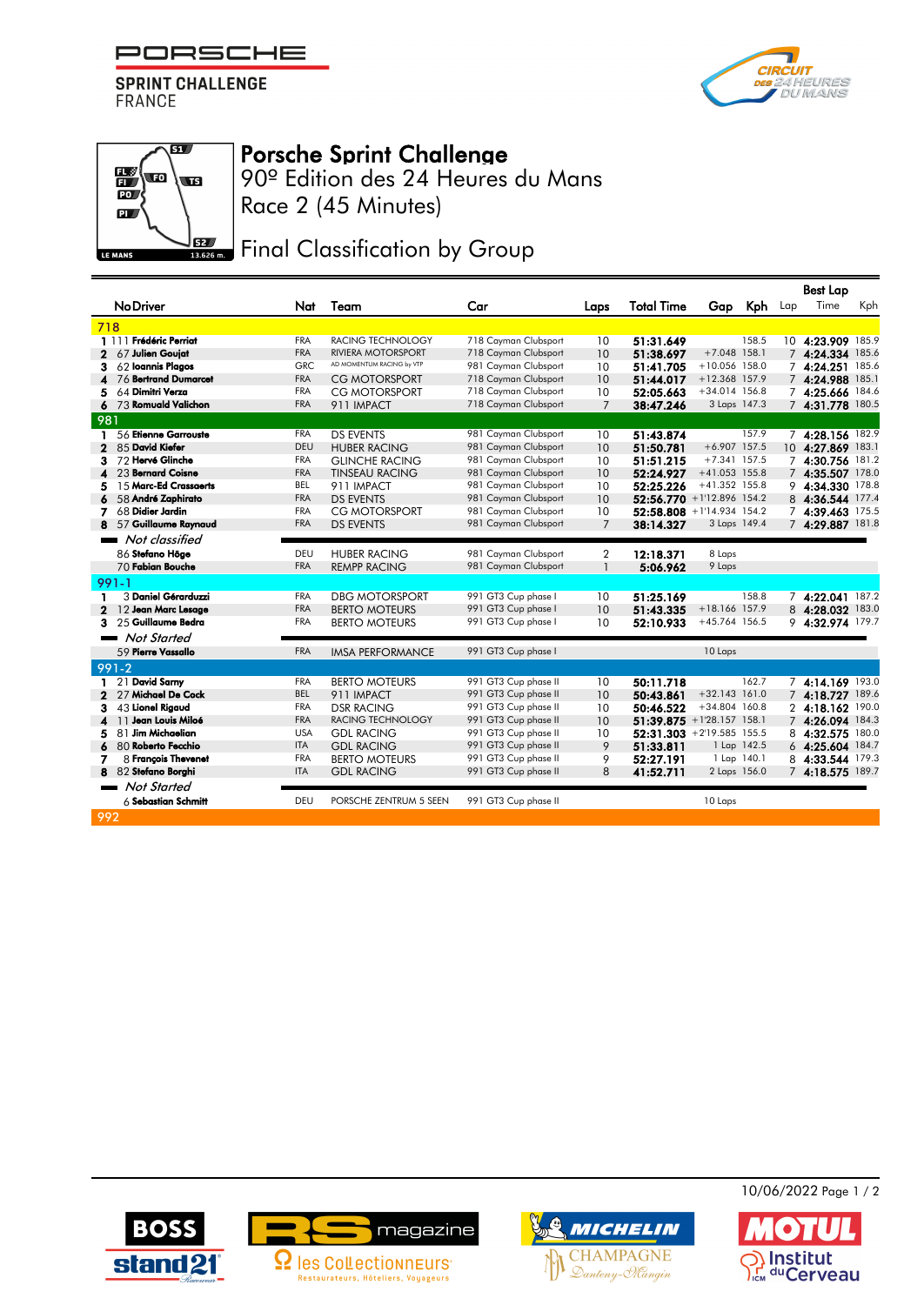PORSCHE

**SPRINT CHALLENGE FRANCE** 





## Porsche Sprint Challenge

90º Edition des 24 Heures du Mans Race 2 (45 Minutes)

**JEZ** Final Classification by Group

|                                     |            |                           |                      |                |                           |                 |             |     | <b>Best Lap</b>   |       |
|-------------------------------------|------------|---------------------------|----------------------|----------------|---------------------------|-----------------|-------------|-----|-------------------|-------|
| <b>No Driver</b>                    | Nat        | Team                      | Car                  | Laps           | <b>Total Time</b>         |                 | Gap Kph     | Lap | Time              | Kph   |
| 718                                 |            |                           |                      |                |                           |                 |             |     |                   |       |
| 1 111 Frédéric Perriat              | <b>FRA</b> | RACING TECHNOLOGY         | 718 Cayman Clubsport | 10             | 51:31.649                 |                 | 158.5       |     | 10 4:23.909 185.9 |       |
| 67 Julien Goujat<br>2               | <b>FRA</b> | <b>RIVIERA MOTORSPORT</b> | 718 Cayman Clubsport | 10             | 51:38.697                 | $+7.048$ 158.1  |             |     | 7 4:24.334 185.6  |       |
| 62 Ioannis Plagos<br>3              | <b>GRC</b> | AD MOMENTUM RACING by VTP | 981 Cayman Clubsport | 10             | 51:41.705                 | +10.056 158.0   |             |     | 7 4:24.251 185.6  |       |
| 76 Bertrand Dumarcet                | <b>FRA</b> | <b>CG MOTORSPORT</b>      | 718 Cayman Clubsport | 10             | 51:44.017                 | $+12.368$ 157.9 |             |     | 7 4:24.988 185.1  |       |
| 64 Dimitri Verza<br>5               | <b>FRA</b> | <b>CG MOTORSPORT</b>      | 718 Cayman Clubsport | 10             | 52:05.663                 | $+34.014$ 156.8 |             |     | 7 4:25.666 184.6  |       |
| 73 Romuald Valichon                 | <b>FRA</b> | 911 IMPACT                | 718 Cayman Clubsport | $\overline{7}$ | 38:47.246                 | 3 Laps 147.3    |             |     | 7 4:31.778 180.5  |       |
| 981                                 |            |                           |                      |                |                           |                 |             |     |                   |       |
| 56 Etienne Garrouste<br>1           | <b>FRA</b> | <b>DS EVENTS</b>          | 981 Cayman Clubsport | 10             | 51:43.874                 |                 | 157.9       |     | 7 4:28.156 182.9  |       |
| 85 David Kiefer<br>$\mathbf{2}$     | <b>DEU</b> | <b>HUBER RACING</b>       | 981 Cayman Clubsport | 10             | 51:50.781                 | $+6.907$ 157.5  |             |     | 10 4:27.869 183.1 |       |
| 72 Hervé Glinche<br>з.              | <b>FRA</b> | <b>GLINCHE RACING</b>     | 981 Cayman Clubsport | 10             | 51:51.215                 | $+7.341$ 157.5  |             |     | 7 4:30.756 181.2  |       |
| 23 Bernard Coisne                   | <b>FRA</b> | <b>TINSEAU RACING</b>     | 981 Cayman Clubsport | 10             | 52:24.927                 | $+41.053$ 155.8 |             |     | 7 4:35.507 178.0  |       |
| 15 Marc-Ed Crassaerts<br>5          | <b>BEL</b> | 911 IMPACT                | 981 Cayman Clubsport | 10             | 52:25.226                 | $+41.352$ 155.8 |             |     | 9 4:34.330 178.8  |       |
| 58 André Zaphirato                  | <b>FRA</b> | <b>DS EVENTS</b>          | 981 Cayman Clubsport | 10             | 52:56.770 +1'12.896 154.2 |                 |             |     | 8 4:36.544 177.4  |       |
| 68 Didier Jardin<br>7.              | <b>FRA</b> | CG MOTORSPORT             | 981 Cayman Clubsport | 10             | 52:58.808 +1'14.934 154.2 |                 |             |     | 7 4:39.463 175.5  |       |
| 57 Guillaume Raynaud<br>8           | <b>FRA</b> | <b>DS EVENTS</b>          | 981 Cayman Clubsport | $\overline{7}$ | 38:14.327                 | 3 Laps 149.4    |             |     | 7 4:29.887 181.8  |       |
| Not classified                      |            |                           |                      |                |                           |                 |             |     |                   |       |
| 86 Stefano Höge                     | DEU        | <b>HUBER RACING</b>       | 981 Cayman Clubsport | $\overline{2}$ | 12:18.371                 | 8 Laps          |             |     |                   |       |
| 70 Fabian Bouche                    | <b>FRA</b> | <b>REMPP RACING</b>       | 981 Cayman Clubsport | $\mathbf{1}$   | 5:06.962                  | 9 Laps          |             |     |                   |       |
| $991 - 1$                           |            |                           |                      |                |                           |                 |             |     |                   |       |
| 3 Daniel Gérarduzzi<br>1            | <b>FRA</b> | <b>DBG MOTORSPORT</b>     | 991 GT3 Cup phase I  | 10             | 51:25.169                 |                 | 158.8       |     | 7 4:22.041 187.2  |       |
| 12 Jean Marc Lesage<br>$\mathbf{2}$ | <b>FRA</b> | <b>BERTO MOTEURS</b>      | 991 GT3 Cup phase I  | 10             | 51:43.335                 | +18.166 157.9   |             |     | 8 4:28.032 183.0  |       |
| 25 Guillaume Bedra<br>3             | <b>FRA</b> | <b>BERTO MOTEURS</b>      | 991 GT3 Cup phase I  | 10             | 52:10.933                 | $+45.764$ 156.5 |             |     | 9 4:32.974 179.7  |       |
| <b>Not Started</b>                  |            |                           |                      |                |                           |                 |             |     |                   |       |
| 59 Pierre Vassallo                  | <b>FRA</b> | <b>IMSA PERFORMANCE</b>   | 991 GT3 Cup phase I  |                |                           | 10 Laps         |             |     |                   |       |
| 991-2                               |            |                           |                      |                |                           |                 |             |     |                   |       |
| 21 David Samy                       | <b>FRA</b> | <b>BERTO MOTEURS</b>      | 991 GT3 Cup phase II | 10             | 50:11.718                 |                 | 162.7       |     | 7 4:14.169 193.0  |       |
| 27 Michael De Cock<br>$\mathbf{2}$  | <b>BEL</b> | 911 IMPACT                | 991 GT3 Cup phase II | 10             | 50:43.861                 | $+32.143$ 161.0 |             |     | 7 4:18.727 189.6  |       |
| 43 Lionel Rigaud<br>3               | <b>FRA</b> | <b>DSR RACING</b>         | 991 GT3 Cup phase II | 10             | 50:46.522                 | $+34.804$ 160.8 |             |     | 24:18.162         | 190.0 |
| 11 Jean Louis Miloé<br>4            | <b>FRA</b> | RACING TECHNOLOGY         | 991 GT3 Cup phase II | 10             | 51:39.875 +1'28.157 158.1 |                 |             |     | 7 4:26.094 184.3  |       |
| 81 Jim Michaelian<br>5              | <b>USA</b> | <b>GDL RACING</b>         | 991 GT3 Cup phase II | 10             | 52:31.303 +2'19.585 155.5 |                 |             |     | 8 4:32.575 180.0  |       |
| 80 Roberto Fecchio                  | <b>ITA</b> | <b>GDL RACING</b>         | 991 GT3 Cup phase II | 9              | 51:33.811                 |                 | 1 Lap 142.5 |     | 6 4:25.604 184.7  |       |
| 8 François Thevenet<br>7            | <b>FRA</b> | <b>BERTO MOTEURS</b>      | 991 GT3 Cup phase II | 9              | 52:27.191                 | 1 Lap 140.1     |             | 8   | 4:33.544 179.3    |       |
| 82 Stefano Borghi<br>8.             | <b>ITA</b> | <b>GDL RACING</b>         | 991 GT3 Cup phase II | 8              | 41:52.711                 | 2 Laps 156.0    |             |     | 7 4:18.575 189.7  |       |
| Not Started                         |            |                           |                      |                |                           |                 |             |     |                   |       |
| $6$ Sebastian Schmitt               | DEU        | PORSCHE ZENTRUM 5 SEEN    | 991 GT3 Cup phase II |                |                           | 10 Laps         |             |     |                   |       |
| 992                                 |            |                           |                      |                |                           |                 |             |     |                   |       |
|                                     |            |                           |                      |                |                           |                 |             |     |                   |       |